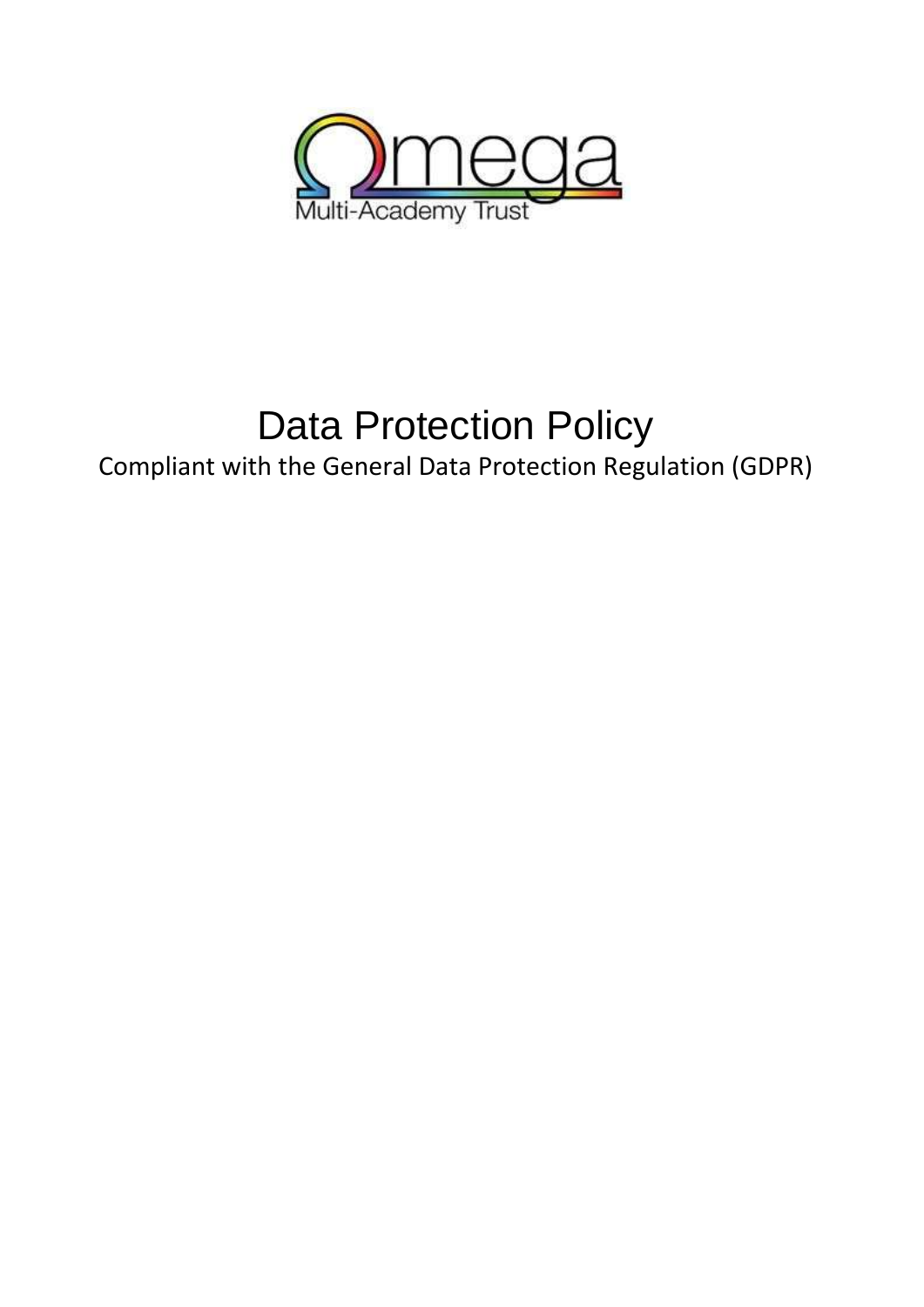

# Data Protection Policy

Compliant with the General Data Protection Regulation (GDPR)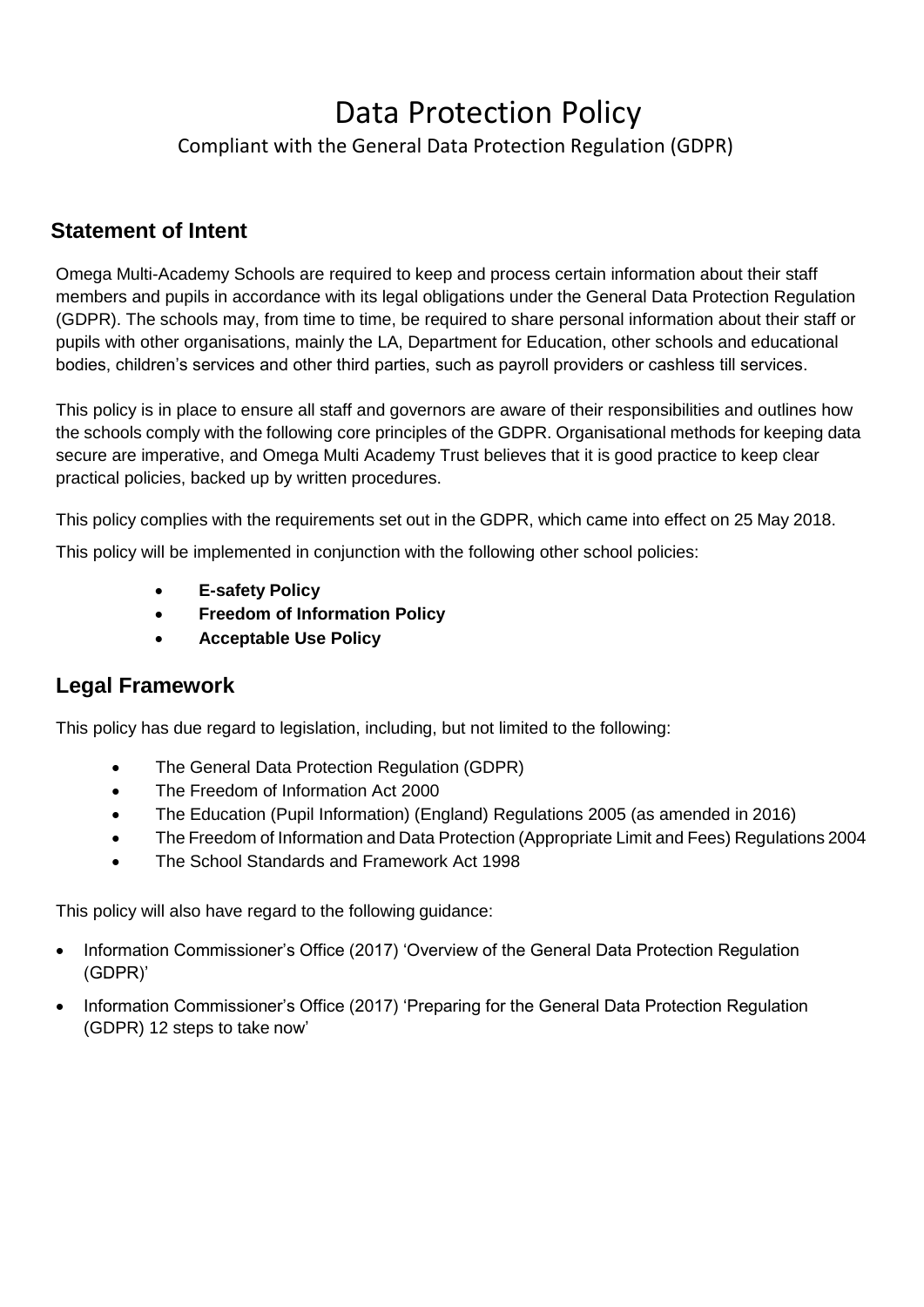# Data Protection Policy

Compliant with the General Data Protection Regulation (GDPR)

### **Statement of Intent**

Omega Multi-Academy Schools are required to keep and process certain information about their staff members and pupils in accordance with its legal obligations under the General Data Protection Regulation (GDPR). The schools may, from time to time, be required to share personal information about their staff or pupils with other organisations, mainly the LA, Department for Education, other schools and educational bodies, children's services and other third parties, such as payroll providers or cashless till services.

This policy is in place to ensure all staff and governors are aware of their responsibilities and outlines how the schools comply with the following core principles of the GDPR. Organisational methods for keeping data secure are imperative, and Omega Multi Academy Trust believes that it is good practice to keep clear practical policies, backed up by written procedures.

This policy complies with the requirements set out in the GDPR, which came into effect on 25 May 2018.

This policy will be implemented in conjunction with the following other school policies:

- **E-safety Policy**
- **Freedom of Information Policy**
- **Acceptable Use Policy**

### **Legal Framework**

This policy has due regard to legislation, including, but not limited to the following:

- The General Data Protection Regulation (GDPR)
- The Freedom of Information Act 2000
- The Education (Pupil Information) (England) Regulations 2005 (as amended in 2016)
- The Freedom of Information and Data Protection (Appropriate Limit and Fees) Regulations 2004
- The School Standards and Framework Act 1998

This policy will also have regard to the following guidance:

- Information Commissioner's Office (2017) 'Overview of the General Data Protection Regulation (GDPR)'
- Information Commissioner's Office (2017) 'Preparing for the General Data Protection Regulation (GDPR) 12 steps to take now'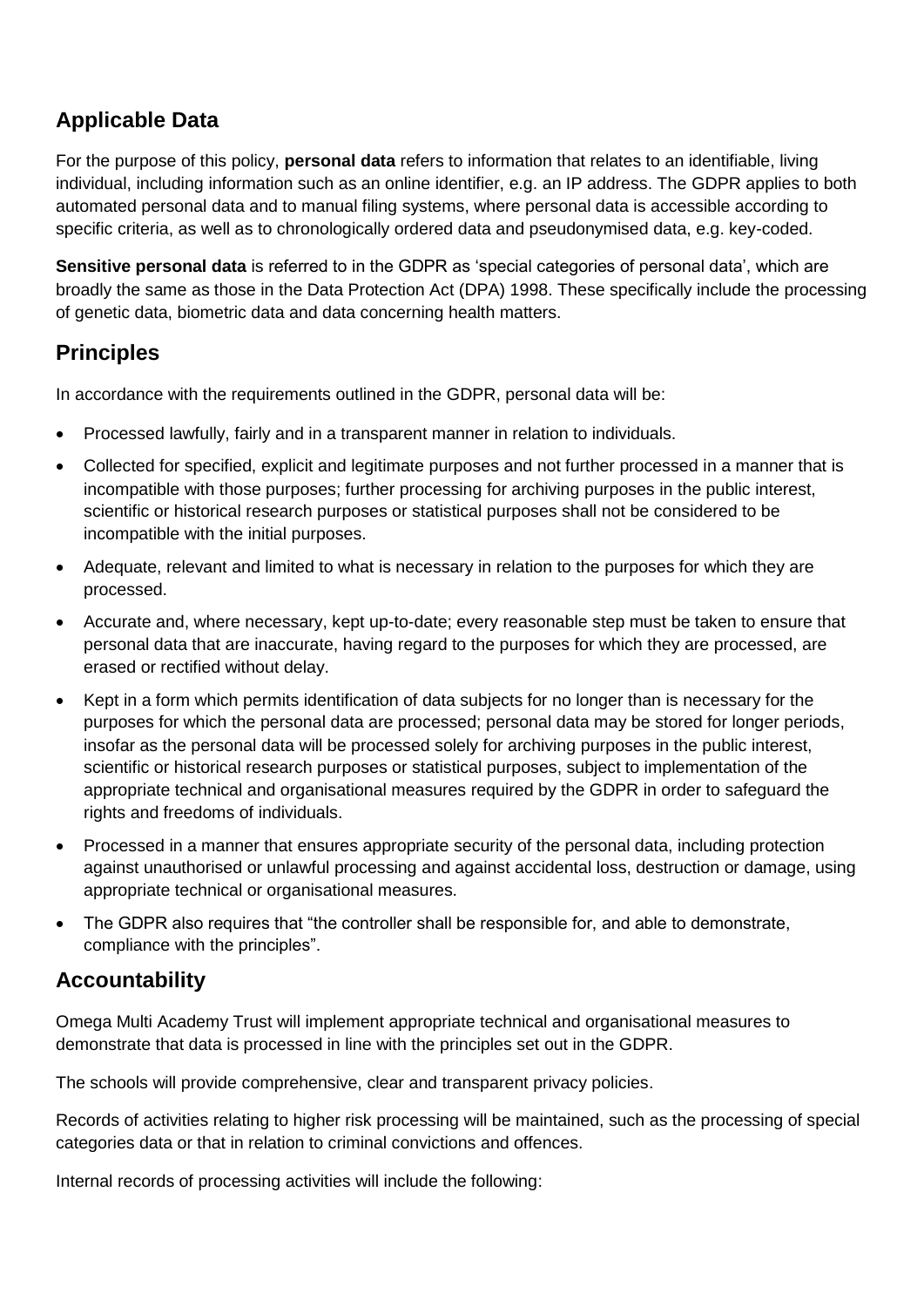# **Applicable Data**

For the purpose of this policy, **personal data** refers to information that relates to an identifiable, living individual, including information such as an online identifier, e.g. an IP address. The GDPR applies to both automated personal data and to manual filing systems, where personal data is accessible according to specific criteria, as well as to chronologically ordered data and pseudonymised data, e.g. key-coded.

**Sensitive personal data** is referred to in the GDPR as 'special categories of personal data', which are broadly the same as those in the Data Protection Act (DPA) 1998. These specifically include the processing of genetic data, biometric data and data concerning health matters.

### **Principles**

In accordance with the requirements outlined in the GDPR, personal data will be:

- Processed lawfully, fairly and in a transparent manner in relation to individuals.
- Collected for specified, explicit and legitimate purposes and not further processed in a manner that is incompatible with those purposes; further processing for archiving purposes in the public interest, scientific or historical research purposes or statistical purposes shall not be considered to be incompatible with the initial purposes.
- Adequate, relevant and limited to what is necessary in relation to the purposes for which they are processed.
- Accurate and, where necessary, kept up-to-date; every reasonable step must be taken to ensure that personal data that are inaccurate, having regard to the purposes for which they are processed, are erased or rectified without delay.
- Kept in a form which permits identification of data subjects for no longer than is necessary for the purposes for which the personal data are processed; personal data may be stored for longer periods, insofar as the personal data will be processed solely for archiving purposes in the public interest, scientific or historical research purposes or statistical purposes, subject to implementation of the appropriate technical and organisational measures required by the GDPR in order to safeguard the rights and freedoms of individuals.
- Processed in a manner that ensures appropriate security of the personal data, including protection against unauthorised or unlawful processing and against accidental loss, destruction or damage, using appropriate technical or organisational measures.
- The GDPR also requires that "the controller shall be responsible for, and able to demonstrate, compliance with the principles".

### **Accountability**

Omega Multi Academy Trust will implement appropriate technical and organisational measures to demonstrate that data is processed in line with the principles set out in the GDPR.

The schools will provide comprehensive, clear and transparent privacy policies.

Records of activities relating to higher risk processing will be maintained, such as the processing of special categories data or that in relation to criminal convictions and offences.

Internal records of processing activities will include the following: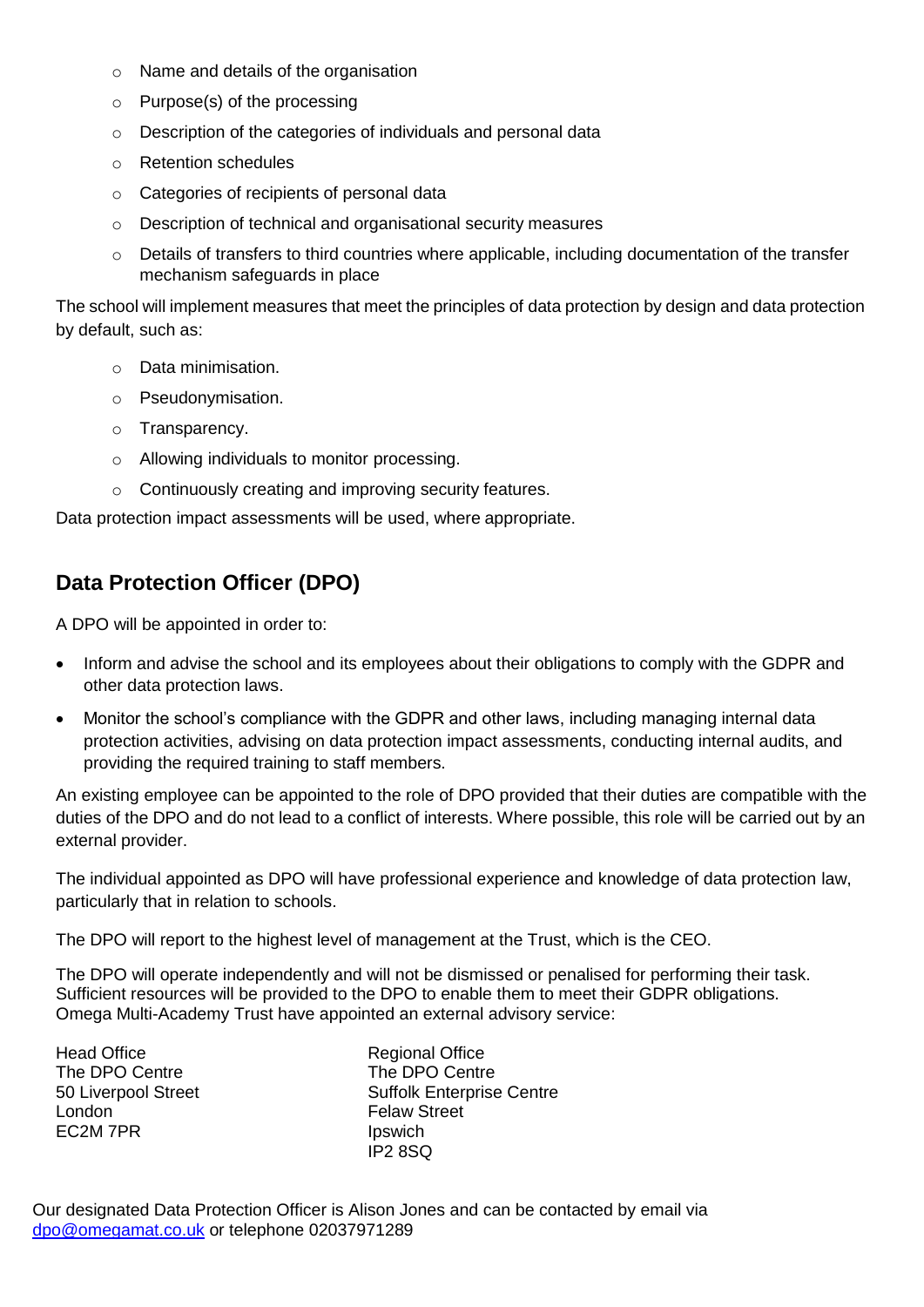- o Name and details of the organisation
- o Purpose(s) of the processing
- o Description of the categories of individuals and personal data
- o Retention schedules
- o Categories of recipients of personal data
- o Description of technical and organisational security measures
- $\circ$  Details of transfers to third countries where applicable, including documentation of the transfer mechanism safeguards in place

The school will implement measures that meet the principles of data protection by design and data protection by default, such as:

- o Data minimisation.
- o Pseudonymisation.
- o Transparency.
- o Allowing individuals to monitor processing.
- o Continuously creating and improving security features.

Data protection impact assessments will be used, where appropriate.

# **Data Protection Officer (DPO)**

A DPO will be appointed in order to:

- Inform and advise the school and its employees about their obligations to comply with the GDPR and other data protection laws.
- Monitor the school's compliance with the GDPR and other laws, including managing internal data protection activities, advising on data protection impact assessments, conducting internal audits, and providing the required training to staff members.

An existing employee can be appointed to the role of DPO provided that their duties are compatible with the duties of the DPO and do not lead to a conflict of interests. Where possible, this role will be carried out by an external provider.

The individual appointed as DPO will have professional experience and knowledge of data protection law, particularly that in relation to schools.

The DPO will report to the highest level of management at the Trust, which is the CEO.

The DPO will operate independently and will not be dismissed or penalised for performing their task. Sufficient resources will be provided to the DPO to enable them to meet their GDPR obligations. Omega Multi-Academy Trust have appointed an external advisory service:

Head Office **Regional Office** Regional Office The DPO Centre The DPO Centre London **Felaw Street** EC2M 7PR Ipswich

50 Liverpool Street Suffolk Enterprise Centre IP2 8SQ

Our designated Data Protection Officer is Alison Jones and can be contacted by email via [dpo@omegamat.co.uk](mailto:dpo@omegamat.co.uk) or telephone 02037971289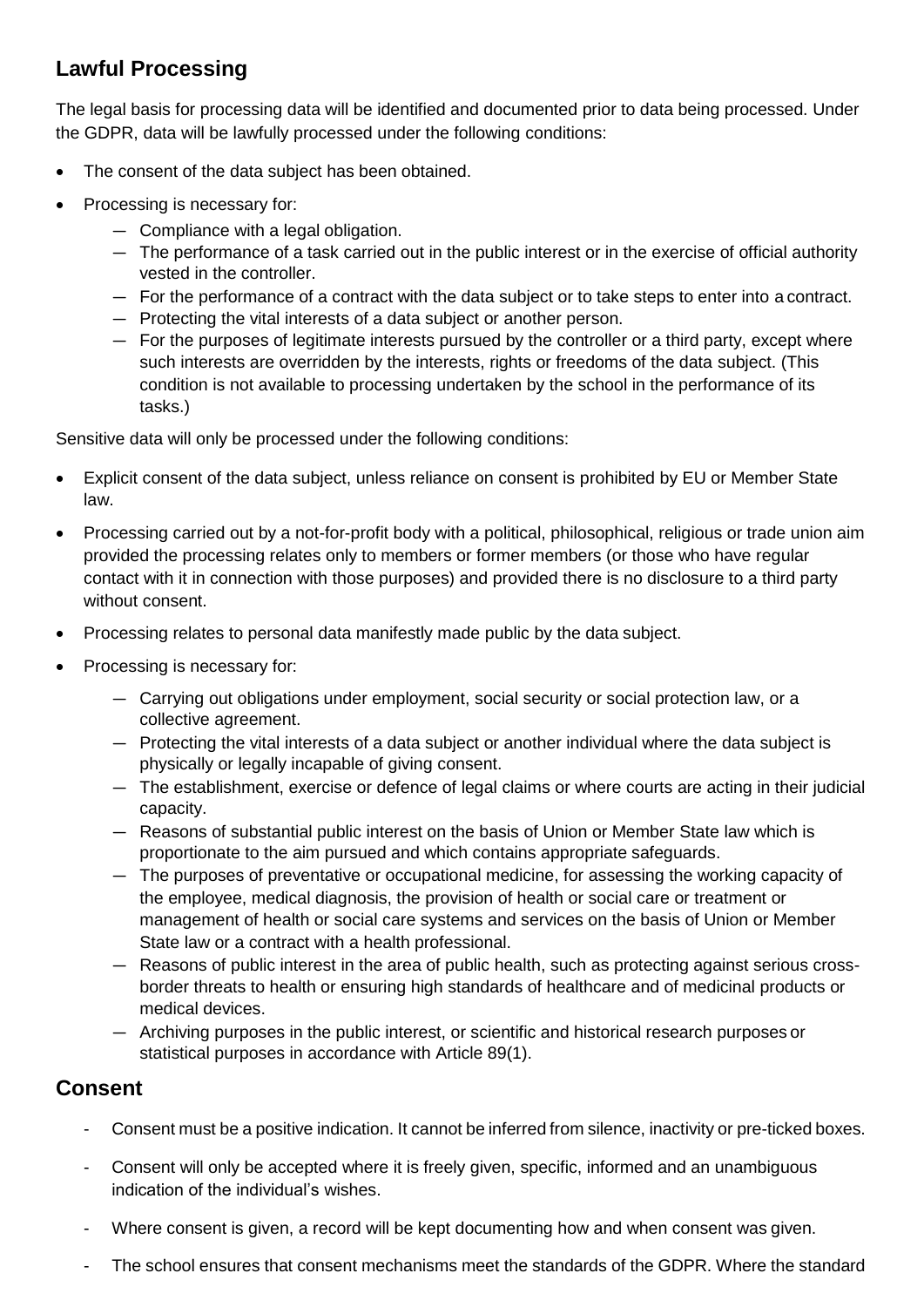# **Lawful Processing**

The legal basis for processing data will be identified and documented prior to data being processed. Under the GDPR, data will be lawfully processed under the following conditions:

- The consent of the data subject has been obtained.
- Processing is necessary for:
	- Compliance with a legal obligation.
	- The performance of a task carried out in the public interest or in the exercise of official authority vested in the controller.
	- For the performance of a contract with the data subject or to take steps to enter into a contract.
	- Protecting the vital interests of a data subject or another person.
	- For the purposes of legitimate interests pursued by the controller or a third party, except where such interests are overridden by the interests, rights or freedoms of the data subject. (This condition is not available to processing undertaken by the school in the performance of its tasks.)

Sensitive data will only be processed under the following conditions:

- Explicit consent of the data subject, unless reliance on consent is prohibited by EU or Member State law.
- Processing carried out by a not-for-profit body with a political, philosophical, religious or trade union aim provided the processing relates only to members or former members (or those who have regular contact with it in connection with those purposes) and provided there is no disclosure to a third party without consent.
- Processing relates to personal data manifestly made public by the data subject.
- Processing is necessary for:
	- Carrying out obligations under employment, social security or social protection law, or a collective agreement.
	- Protecting the vital interests of a data subject or another individual where the data subject is physically or legally incapable of giving consent.
	- The establishment, exercise or defence of legal claims or where courts are acting in their judicial capacity.
	- Reasons of substantial public interest on the basis of Union or Member State law which is proportionate to the aim pursued and which contains appropriate safeguards.
	- The purposes of preventative or occupational medicine, for assessing the working capacity of the employee, medical diagnosis, the provision of health or social care or treatment or management of health or social care systems and services on the basis of Union or Member State law or a contract with a health professional.
	- Reasons of public interest in the area of public health, such as protecting against serious crossborder threats to health or ensuring high standards of healthcare and of medicinal products or medical devices.
	- Archiving purposes in the public interest, or scientific and historical research purposes or statistical purposes in accordance with Article 89(1).

### **Consent**

- Consent must be a positive indication. It cannot be inferred from silence, inactivity or pre-ticked boxes.
- Consent will only be accepted where it is freely given, specific, informed and an unambiguous indication of the individual's wishes.
- Where consent is given, a record will be kept documenting how and when consent was given.
- The school ensures that consent mechanisms meet the standards of the GDPR. Where the standard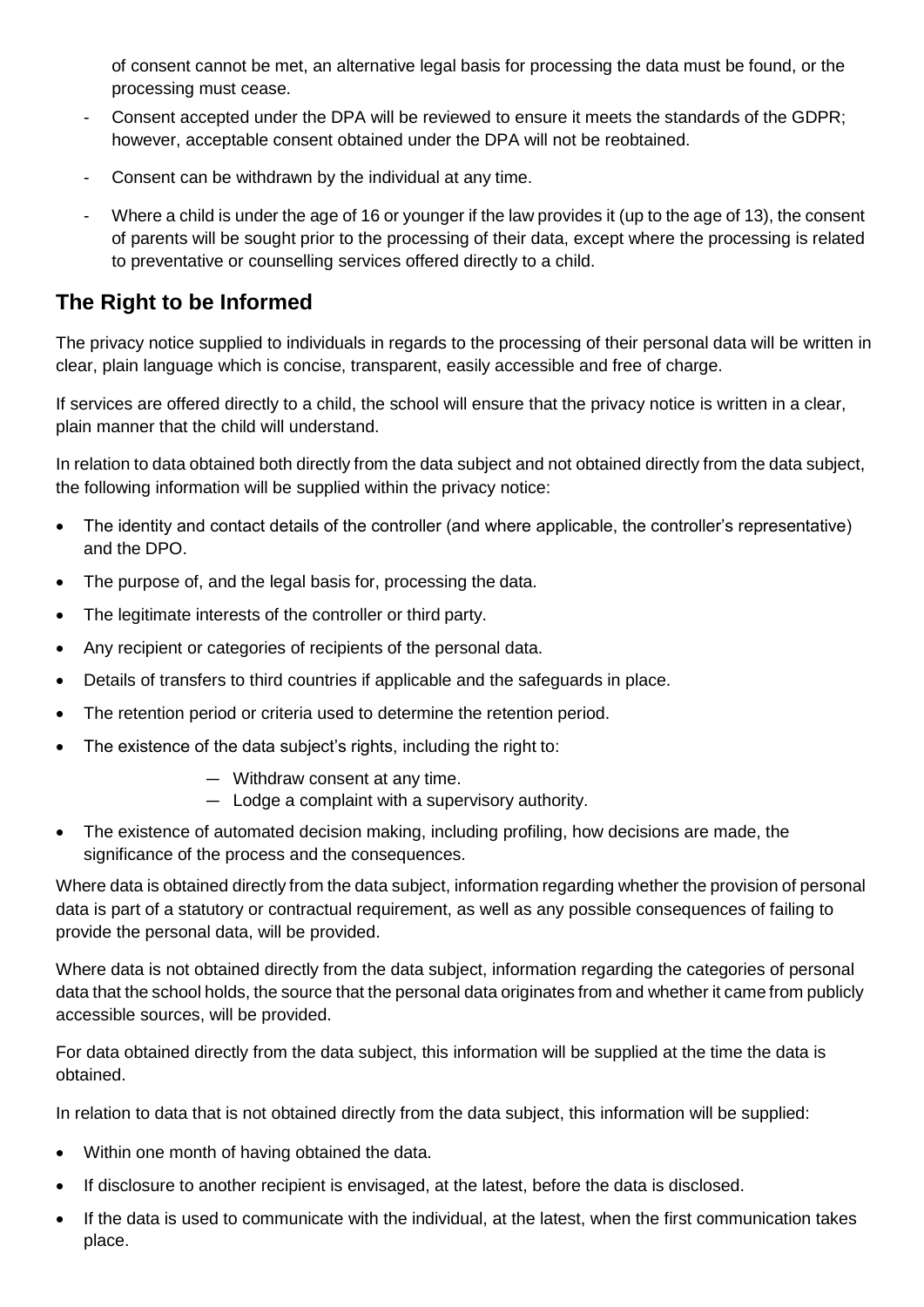of consent cannot be met, an alternative legal basis for processing the data must be found, or the processing must cease.

- Consent accepted under the DPA will be reviewed to ensure it meets the standards of the GDPR; however, acceptable consent obtained under the DPA will not be reobtained.
- Consent can be withdrawn by the individual at any time.
- Where a child is under the age of 16 or younger if the law provides it (up to the age of 13), the consent of parents will be sought prior to the processing of their data, except where the processing is related to preventative or counselling services offered directly to a child.

### **The Right to be Informed**

The privacy notice supplied to individuals in regards to the processing of their personal data will be written in clear, plain language which is concise, transparent, easily accessible and free of charge.

If services are offered directly to a child, the school will ensure that the privacy notice is written in a clear, plain manner that the child will understand.

In relation to data obtained both directly from the data subject and not obtained directly from the data subject, the following information will be supplied within the privacy notice:

- The identity and contact details of the controller (and where applicable, the controller's representative) and the DPO.
- The purpose of, and the legal basis for, processing the data.
- The legitimate interests of the controller or third party.
- Any recipient or categories of recipients of the personal data.
- Details of transfers to third countries if applicable and the safeguards in place.
- The retention period or criteria used to determine the retention period.
- The existence of the data subject's rights, including the right to:
	- Withdraw consent at any time.
	- Lodge a complaint with a supervisory authority.
- The existence of automated decision making, including profiling, how decisions are made, the significance of the process and the consequences.

Where data is obtained directly from the data subject, information regarding whether the provision of personal data is part of a statutory or contractual requirement, as well as any possible consequences of failing to provide the personal data, will be provided.

Where data is not obtained directly from the data subject, information regarding the categories of personal data that the school holds, the source that the personal data originates from and whether it came from publicly accessible sources, will be provided.

For data obtained directly from the data subject, this information will be supplied at the time the data is obtained.

In relation to data that is not obtained directly from the data subject, this information will be supplied:

- Within one month of having obtained the data.
- If disclosure to another recipient is envisaged, at the latest, before the data is disclosed.
- If the data is used to communicate with the individual, at the latest, when the first communication takes place.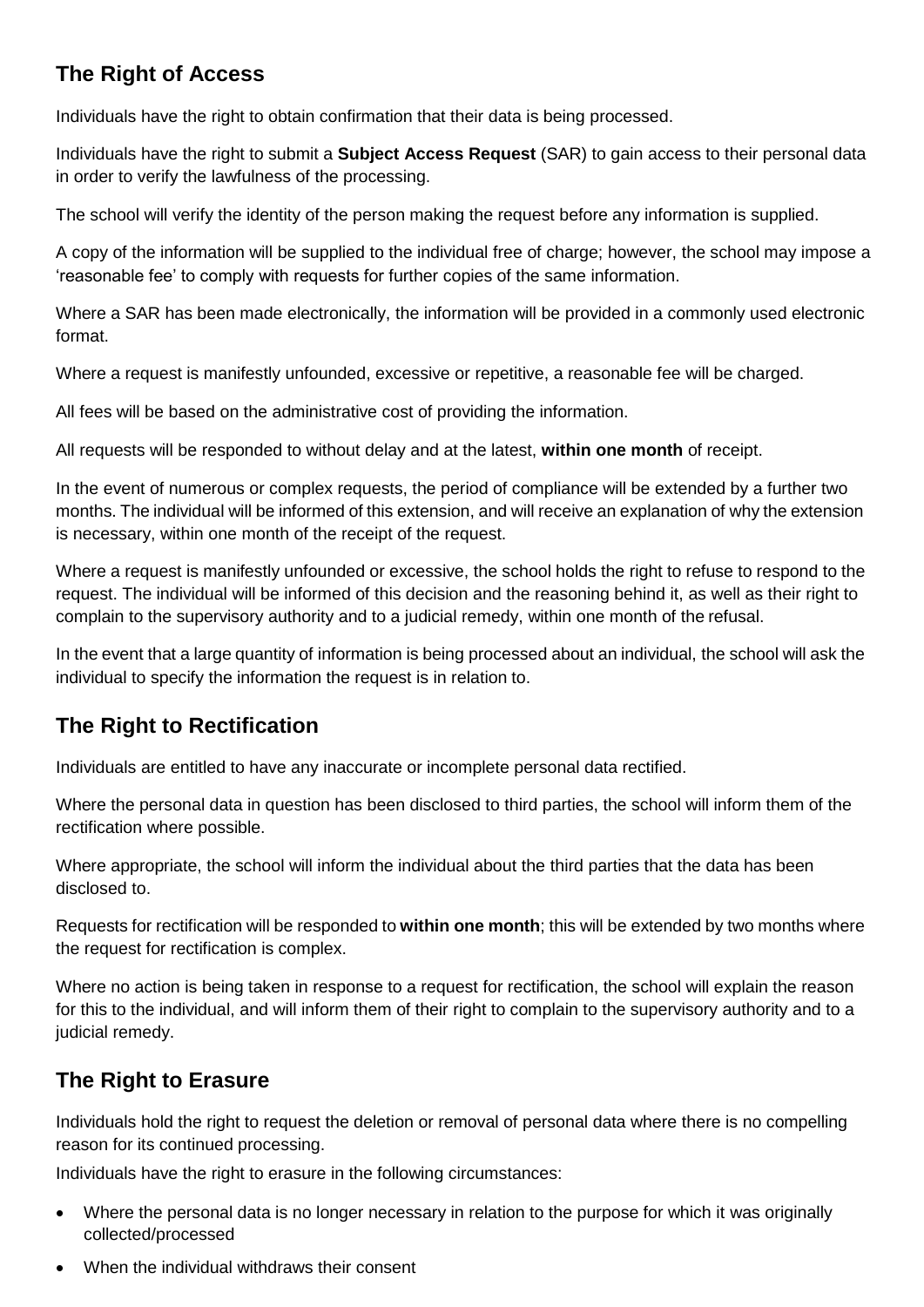# **The Right of Access**

Individuals have the right to obtain confirmation that their data is being processed.

Individuals have the right to submit a **Subject Access Request** (SAR) to gain access to their personal data in order to verify the lawfulness of the processing.

The school will verify the identity of the person making the request before any information is supplied.

A copy of the information will be supplied to the individual free of charge; however, the school may impose a 'reasonable fee' to comply with requests for further copies of the same information.

Where a SAR has been made electronically, the information will be provided in a commonly used electronic format.

Where a request is manifestly unfounded, excessive or repetitive, a reasonable fee will be charged.

All fees will be based on the administrative cost of providing the information.

All requests will be responded to without delay and at the latest, **within one month** of receipt.

In the event of numerous or complex requests, the period of compliance will be extended by a further two months. The individual will be informed of this extension, and will receive an explanation of why the extension is necessary, within one month of the receipt of the request.

Where a request is manifestly unfounded or excessive, the school holds the right to refuse to respond to the request. The individual will be informed of this decision and the reasoning behind it, as well as their right to complain to the supervisory authority and to a judicial remedy, within one month of the refusal.

In the event that a large quantity of information is being processed about an individual, the school will ask the individual to specify the information the request is in relation to.

# **The Right to Rectification**

Individuals are entitled to have any inaccurate or incomplete personal data rectified.

Where the personal data in question has been disclosed to third parties, the school will inform them of the rectification where possible.

Where appropriate, the school will inform the individual about the third parties that the data has been disclosed to.

Requests for rectification will be responded to **within one month**; this will be extended by two months where the request for rectification is complex.

Where no action is being taken in response to a request for rectification, the school will explain the reason for this to the individual, and will inform them of their right to complain to the supervisory authority and to a judicial remedy.

# **The Right to Erasure**

Individuals hold the right to request the deletion or removal of personal data where there is no compelling reason for its continued processing.

Individuals have the right to erasure in the following circumstances:

- Where the personal data is no longer necessary in relation to the purpose for which it was originally collected/processed
- When the individual withdraws their consent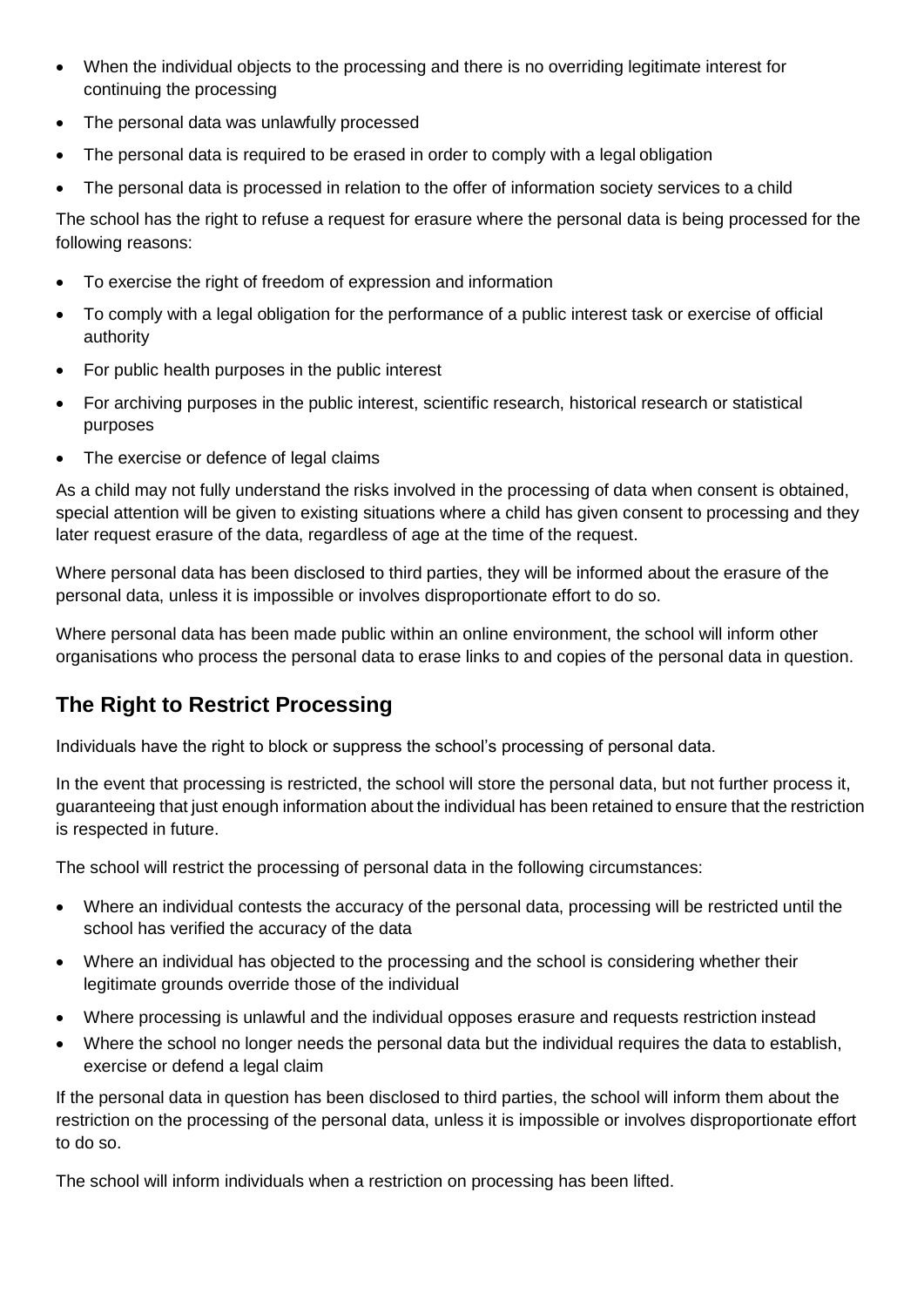- When the individual objects to the processing and there is no overriding legitimate interest for continuing the processing
- The personal data was unlawfully processed
- The personal data is required to be erased in order to comply with a legal obligation
- The personal data is processed in relation to the offer of information society services to a child

The school has the right to refuse a request for erasure where the personal data is being processed for the following reasons:

- To exercise the right of freedom of expression and information
- To comply with a legal obligation for the performance of a public interest task or exercise of official authority
- For public health purposes in the public interest
- For archiving purposes in the public interest, scientific research, historical research or statistical purposes
- The exercise or defence of legal claims

As a child may not fully understand the risks involved in the processing of data when consent is obtained, special attention will be given to existing situations where a child has given consent to processing and they later request erasure of the data, regardless of age at the time of the request.

Where personal data has been disclosed to third parties, they will be informed about the erasure of the personal data, unless it is impossible or involves disproportionate effort to do so.

Where personal data has been made public within an online environment, the school will inform other organisations who process the personal data to erase links to and copies of the personal data in question.

### **The Right to Restrict Processing**

Individuals have the right to block or suppress the school's processing of personal data.

In the event that processing is restricted, the school will store the personal data, but not further process it, guaranteeing that just enough information about the individual has been retained to ensure that the restriction is respected in future.

The school will restrict the processing of personal data in the following circumstances:

- Where an individual contests the accuracy of the personal data, processing will be restricted until the school has verified the accuracy of the data
- Where an individual has objected to the processing and the school is considering whether their legitimate grounds override those of the individual
- Where processing is unlawful and the individual opposes erasure and requests restriction instead
- Where the school no longer needs the personal data but the individual requires the data to establish, exercise or defend a legal claim

If the personal data in question has been disclosed to third parties, the school will inform them about the restriction on the processing of the personal data, unless it is impossible or involves disproportionate effort to do so.

The school will inform individuals when a restriction on processing has been lifted.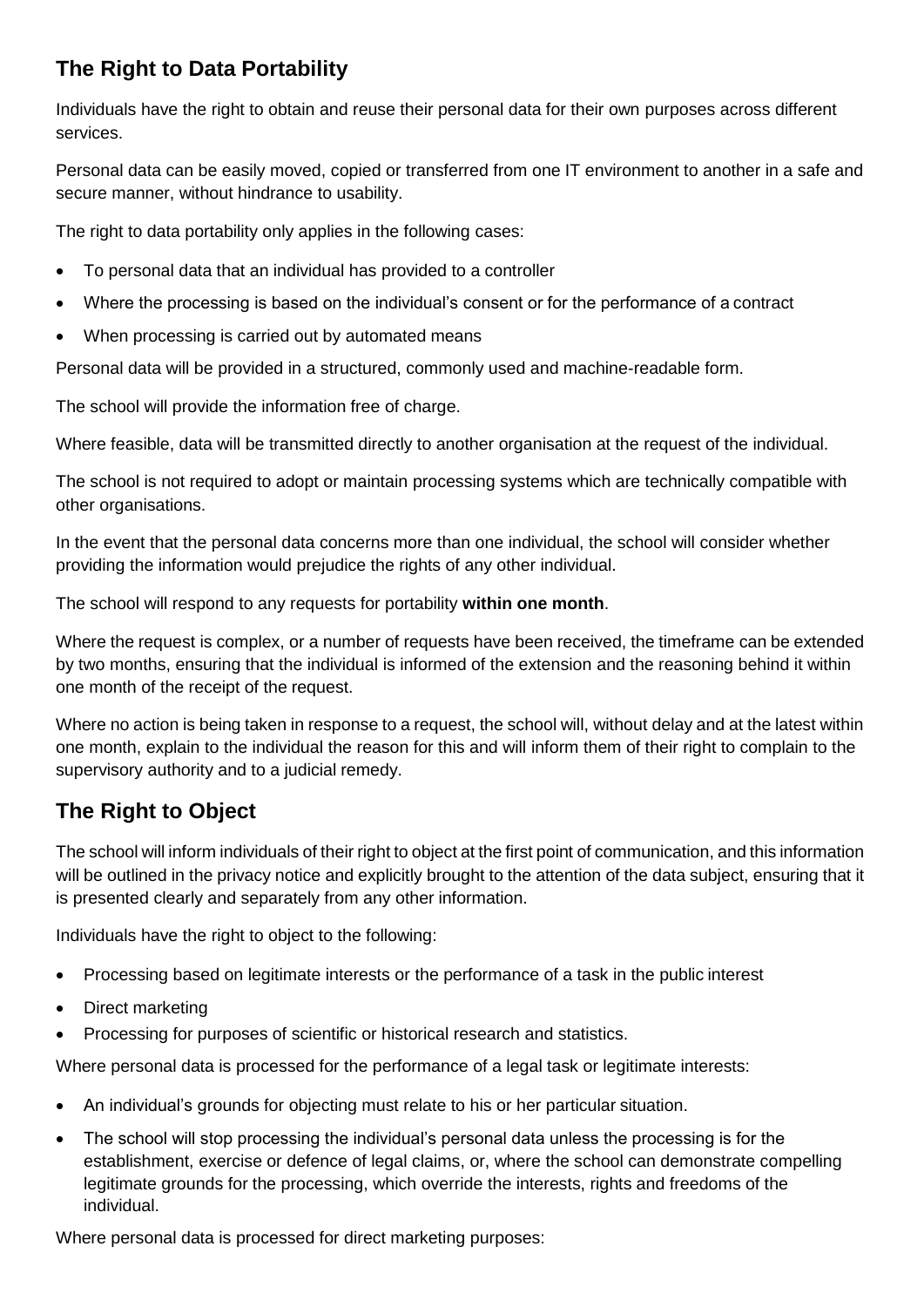# **The Right to Data Portability**

Individuals have the right to obtain and reuse their personal data for their own purposes across different services.

Personal data can be easily moved, copied or transferred from one IT environment to another in a safe and secure manner, without hindrance to usability.

The right to data portability only applies in the following cases:

- To personal data that an individual has provided to a controller
- Where the processing is based on the individual's consent or for the performance of a contract
- When processing is carried out by automated means

Personal data will be provided in a structured, commonly used and machine-readable form.

The school will provide the information free of charge.

Where feasible, data will be transmitted directly to another organisation at the request of the individual.

The school is not required to adopt or maintain processing systems which are technically compatible with other organisations.

In the event that the personal data concerns more than one individual, the school will consider whether providing the information would prejudice the rights of any other individual.

The school will respond to any requests for portability **within one month**.

Where the request is complex, or a number of requests have been received, the timeframe can be extended by two months, ensuring that the individual is informed of the extension and the reasoning behind it within one month of the receipt of the request.

Where no action is being taken in response to a request, the school will, without delay and at the latest within one month, explain to the individual the reason for this and will inform them of their right to complain to the supervisory authority and to a judicial remedy.

# **The Right to Object**

The school will inform individuals of their right to object at the first point of communication, and this information will be outlined in the privacy notice and explicitly brought to the attention of the data subject, ensuring that it is presented clearly and separately from any other information.

Individuals have the right to object to the following:

- Processing based on legitimate interests or the performance of a task in the public interest
- Direct marketing
- Processing for purposes of scientific or historical research and statistics.

Where personal data is processed for the performance of a legal task or legitimate interests:

- An individual's grounds for objecting must relate to his or her particular situation.
- The school will stop processing the individual's personal data unless the processing is for the establishment, exercise or defence of legal claims, or, where the school can demonstrate compelling legitimate grounds for the processing, which override the interests, rights and freedoms of the individual.

Where personal data is processed for direct marketing purposes: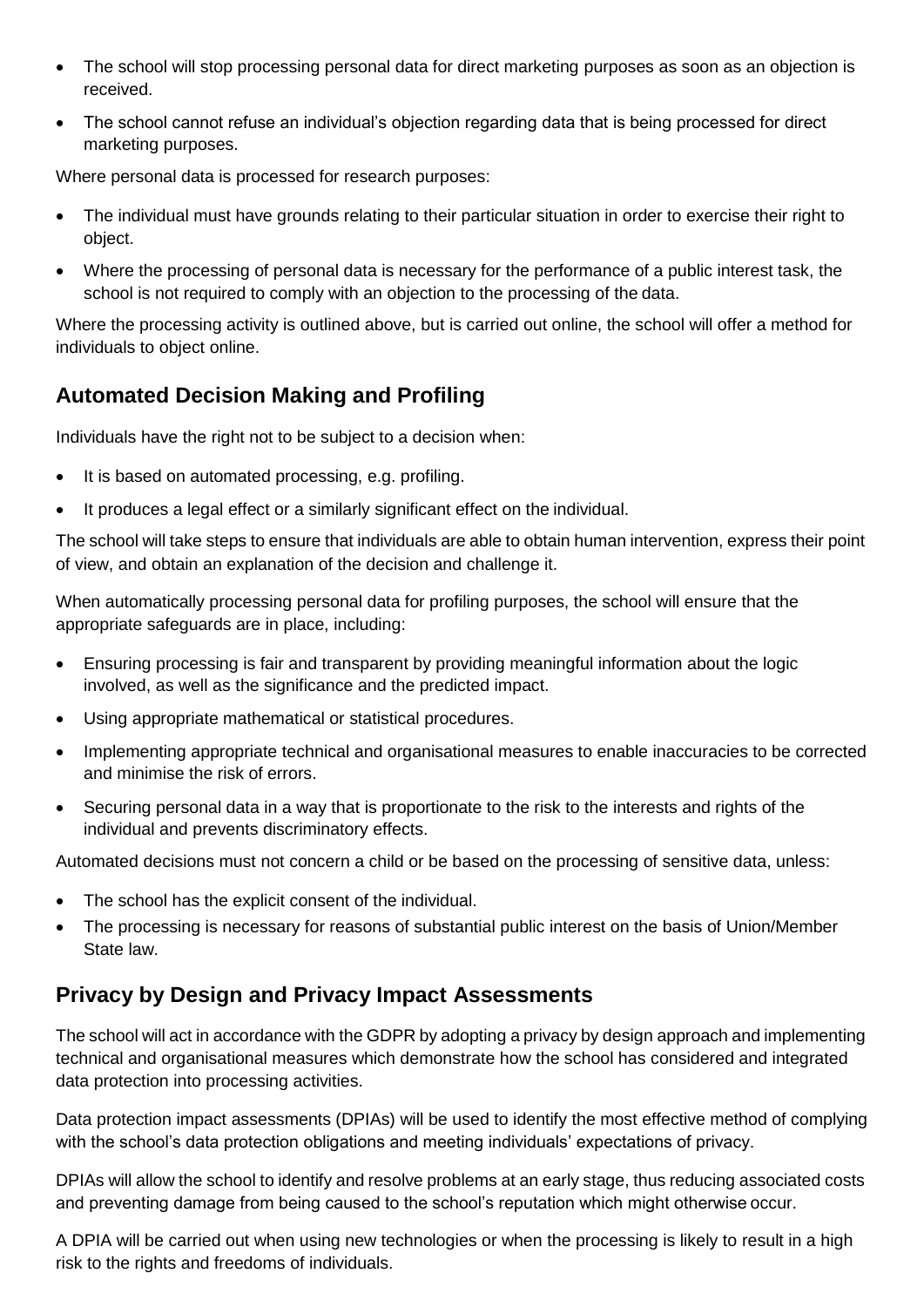- The school will stop processing personal data for direct marketing purposes as soon as an objection is received.
- The school cannot refuse an individual's objection regarding data that is being processed for direct marketing purposes.

Where personal data is processed for research purposes:

- The individual must have grounds relating to their particular situation in order to exercise their right to object.
- Where the processing of personal data is necessary for the performance of a public interest task, the school is not required to comply with an objection to the processing of the data.

Where the processing activity is outlined above, but is carried out online, the school will offer a method for individuals to object online.

# **Automated Decision Making and Profiling**

Individuals have the right not to be subject to a decision when:

- It is based on automated processing, e.g. profiling.
- It produces a legal effect or a similarly significant effect on the individual.

The school will take steps to ensure that individuals are able to obtain human intervention, express their point of view, and obtain an explanation of the decision and challenge it.

When automatically processing personal data for profiling purposes, the school will ensure that the appropriate safeguards are in place, including:

- Ensuring processing is fair and transparent by providing meaningful information about the logic involved, as well as the significance and the predicted impact.
- Using appropriate mathematical or statistical procedures.
- Implementing appropriate technical and organisational measures to enable inaccuracies to be corrected and minimise the risk of errors.
- Securing personal data in a way that is proportionate to the risk to the interests and rights of the individual and prevents discriminatory effects.

Automated decisions must not concern a child or be based on the processing of sensitive data, unless:

- The school has the explicit consent of the individual.
- The processing is necessary for reasons of substantial public interest on the basis of Union/Member State law.

### **Privacy by Design and Privacy Impact Assessments**

The school will act in accordance with the GDPR by adopting a privacy by design approach and implementing technical and organisational measures which demonstrate how the school has considered and integrated data protection into processing activities.

Data protection impact assessments (DPIAs) will be used to identify the most effective method of complying with the school's data protection obligations and meeting individuals' expectations of privacy.

DPIAs will allow the school to identify and resolve problems at an early stage, thus reducing associated costs and preventing damage from being caused to the school's reputation which might otherwise occur.

A DPIA will be carried out when using new technologies or when the processing is likely to result in a high risk to the rights and freedoms of individuals.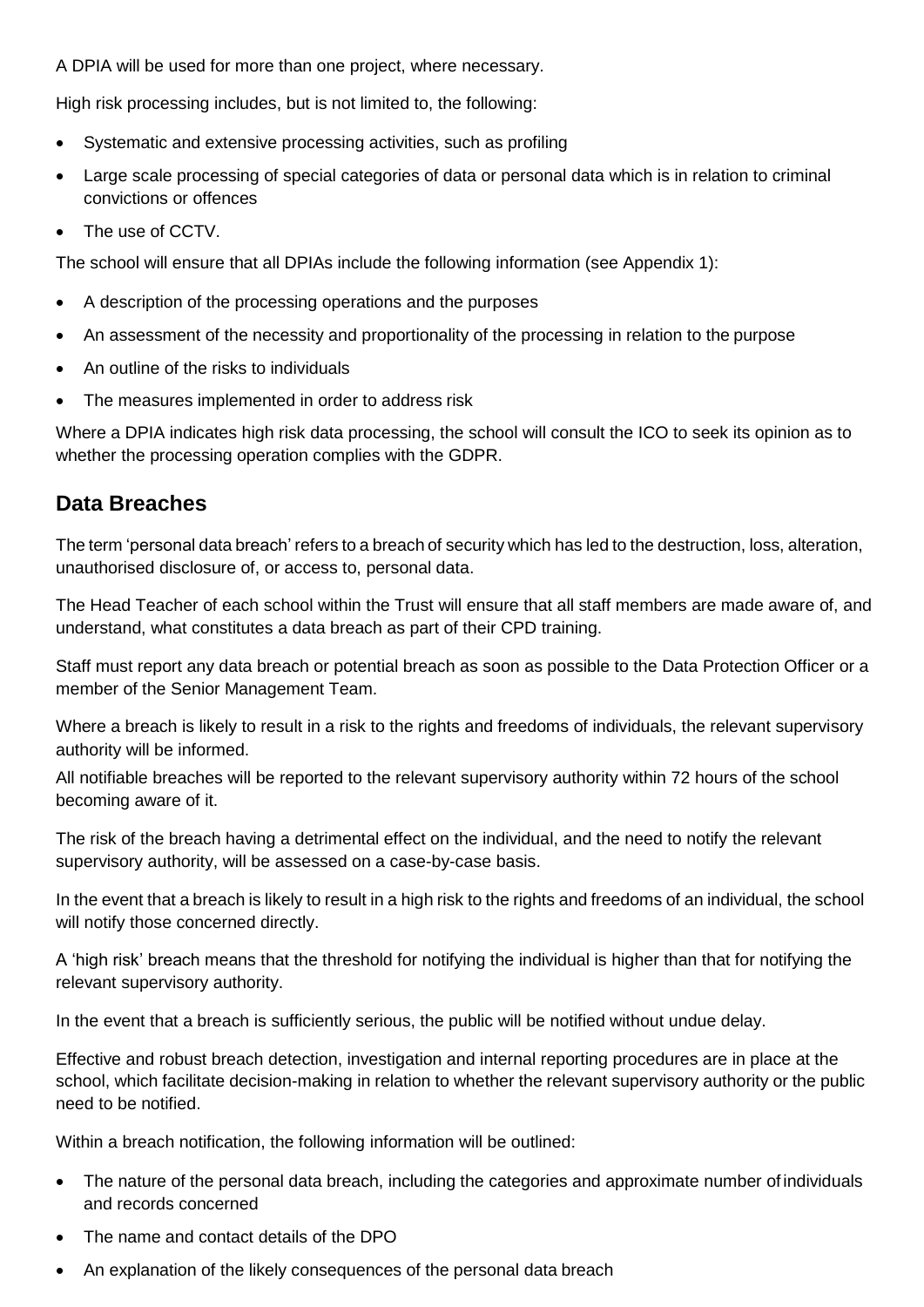A DPIA will be used for more than one project, where necessary.

High risk processing includes, but is not limited to, the following:

- Systematic and extensive processing activities, such as profiling
- Large scale processing of special categories of data or personal data which is in relation to criminal convictions or offences
- The use of CCTV.

The school will ensure that all DPIAs include the following information (see Appendix 1):

- A description of the processing operations and the purposes
- An assessment of the necessity and proportionality of the processing in relation to the purpose
- An outline of the risks to individuals
- The measures implemented in order to address risk

Where a DPIA indicates high risk data processing, the school will consult the ICO to seek its opinion as to whether the processing operation complies with the GDPR.

### **Data Breaches**

The term 'personal data breach' refers to a breach of security which has led to the destruction, loss, alteration, unauthorised disclosure of, or access to, personal data.

The Head Teacher of each school within the Trust will ensure that all staff members are made aware of, and understand, what constitutes a data breach as part of their CPD training.

Staff must report any data breach or potential breach as soon as possible to the Data Protection Officer or a member of the Senior Management Team.

Where a breach is likely to result in a risk to the rights and freedoms of individuals, the relevant supervisory authority will be informed.

All notifiable breaches will be reported to the relevant supervisory authority within 72 hours of the school becoming aware of it.

The risk of the breach having a detrimental effect on the individual, and the need to notify the relevant supervisory authority, will be assessed on a case-by-case basis.

In the event that a breach is likely to result in a high risk to the rights and freedoms of an individual, the school will notify those concerned directly.

A 'high risk' breach means that the threshold for notifying the individual is higher than that for notifying the relevant supervisory authority.

In the event that a breach is sufficiently serious, the public will be notified without undue delay.

Effective and robust breach detection, investigation and internal reporting procedures are in place at the school, which facilitate decision-making in relation to whether the relevant supervisory authority or the public need to be notified.

Within a breach notification, the following information will be outlined:

- The nature of the personal data breach, including the categories and approximate number of individuals and records concerned
- The name and contact details of the DPO
- An explanation of the likely consequences of the personal data breach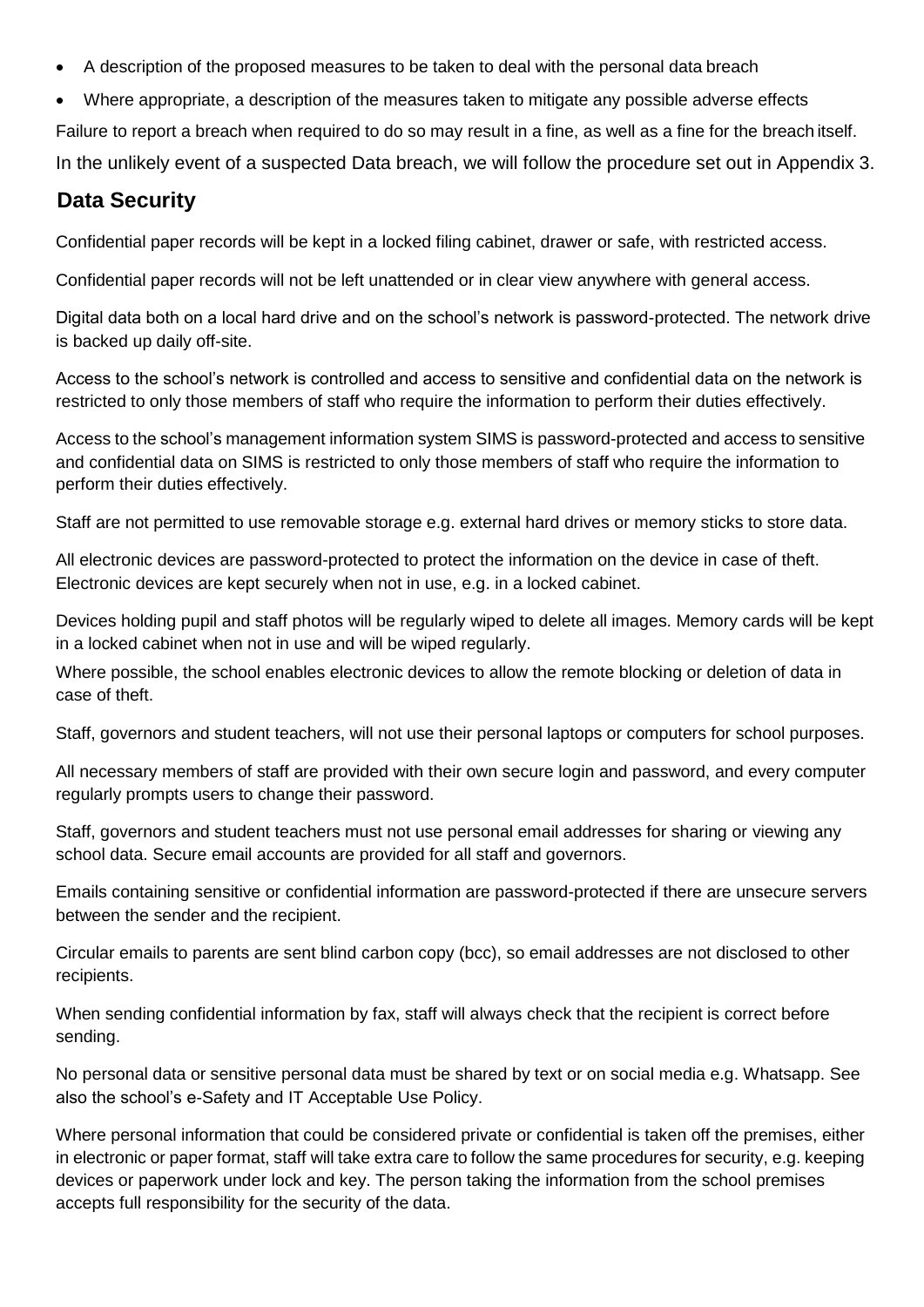- A description of the proposed measures to be taken to deal with the personal data breach
- Where appropriate, a description of the measures taken to mitigate any possible adverse effects

Failure to report a breach when required to do so may result in a fine, as well as a fine for the breach itself.

In the unlikely event of a suspected Data breach, we will follow the procedure set out in Appendix 3.

### **Data Security**

Confidential paper records will be kept in a locked filing cabinet, drawer or safe, with restricted access.

Confidential paper records will not be left unattended or in clear view anywhere with general access.

Digital data both on a local hard drive and on the school's network is password-protected. The network drive is backed up daily off-site.

Access to the school's network is controlled and access to sensitive and confidential data on the network is restricted to only those members of staff who require the information to perform their duties effectively.

Access to the school's management information system SIMS is password-protected and access to sensitive and confidential data on SIMS is restricted to only those members of staff who require the information to perform their duties effectively.

Staff are not permitted to use removable storage e.g. external hard drives or memory sticks to store data.

All electronic devices are password-protected to protect the information on the device in case of theft. Electronic devices are kept securely when not in use, e.g. in a locked cabinet.

Devices holding pupil and staff photos will be regularly wiped to delete all images. Memory cards will be kept in a locked cabinet when not in use and will be wiped regularly.

Where possible, the school enables electronic devices to allow the remote blocking or deletion of data in case of theft.

Staff, governors and student teachers, will not use their personal laptops or computers for school purposes.

All necessary members of staff are provided with their own secure login and password, and every computer regularly prompts users to change their password.

Staff, governors and student teachers must not use personal email addresses for sharing or viewing any school data. Secure email accounts are provided for all staff and governors.

Emails containing sensitive or confidential information are password-protected if there are unsecure servers between the sender and the recipient.

Circular emails to parents are sent blind carbon copy (bcc), so email addresses are not disclosed to other recipients.

When sending confidential information by fax, staff will always check that the recipient is correct before sending.

No personal data or sensitive personal data must be shared by text or on social media e.g. Whatsapp. See also the school's e-Safety and IT Acceptable Use Policy.

Where personal information that could be considered private or confidential is taken off the premises, either in electronic or paper format, staff will take extra care to follow the same procedures for security, e.g. keeping devices or paperwork under lock and key. The person taking the information from the school premises accepts full responsibility for the security of the data.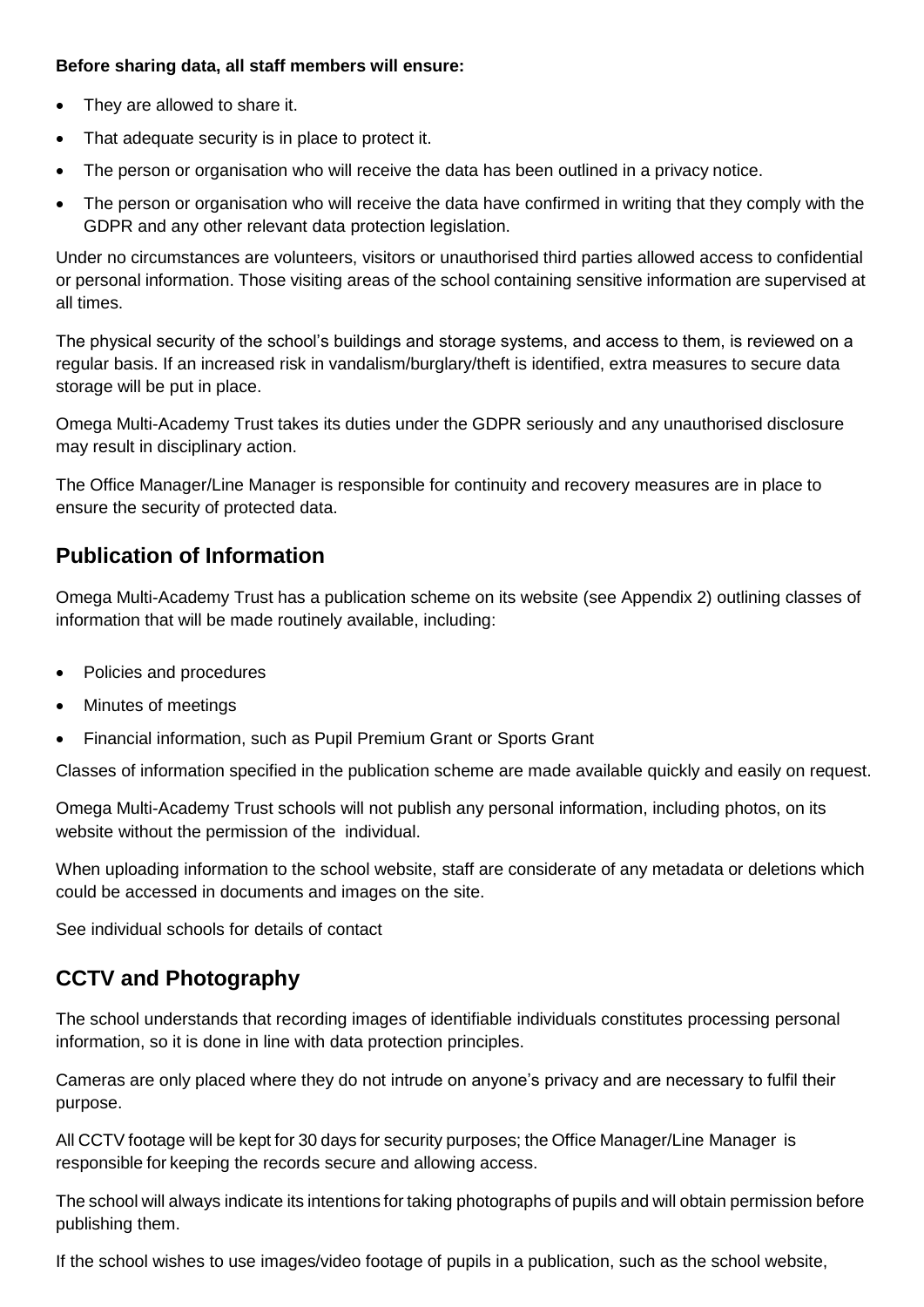#### **Before sharing data, all staff members will ensure:**

- They are allowed to share it.
- That adequate security is in place to protect it.
- The person or organisation who will receive the data has been outlined in a privacy notice.
- The person or organisation who will receive the data have confirmed in writing that they comply with the GDPR and any other relevant data protection legislation.

Under no circumstances are volunteers, visitors or unauthorised third parties allowed access to confidential or personal information. Those visiting areas of the school containing sensitive information are supervised at all times.

The physical security of the school's buildings and storage systems, and access to them, is reviewed on a regular basis. If an increased risk in vandalism/burglary/theft is identified, extra measures to secure data storage will be put in place.

Omega Multi-Academy Trust takes its duties under the GDPR seriously and any unauthorised disclosure may result in disciplinary action.

The Office Manager/Line Manager is responsible for continuity and recovery measures are in place to ensure the security of protected data.

### **Publication of Information**

Omega Multi-Academy Trust has a publication scheme on its website (see Appendix 2) outlining classes of information that will be made routinely available, including:

- Policies and procedures
- Minutes of meetings
- Financial information, such as Pupil Premium Grant or Sports Grant

Classes of information specified in the publication scheme are made available quickly and easily on request.

Omega Multi-Academy Trust schools will not publish any personal information, including photos, on its website without the permission of the individual.

When uploading information to the school website, staff are considerate of any metadata or deletions which could be accessed in documents and images on the site.

See individual schools for details of contact

### **CCTV and Photography**

The school understands that recording images of identifiable individuals constitutes processing personal information, so it is done in line with data protection principles.

Cameras are only placed where they do not intrude on anyone's privacy and are necessary to fulfil their purpose.

All CCTV footage will be kept for 30 days for security purposes; the Office Manager/Line Manager is responsible for keeping the records secure and allowing access.

The school will always indicate its intentions for taking photographs of pupils and will obtain permission before publishing them.

If the school wishes to use images/video footage of pupils in a publication, such as the school website,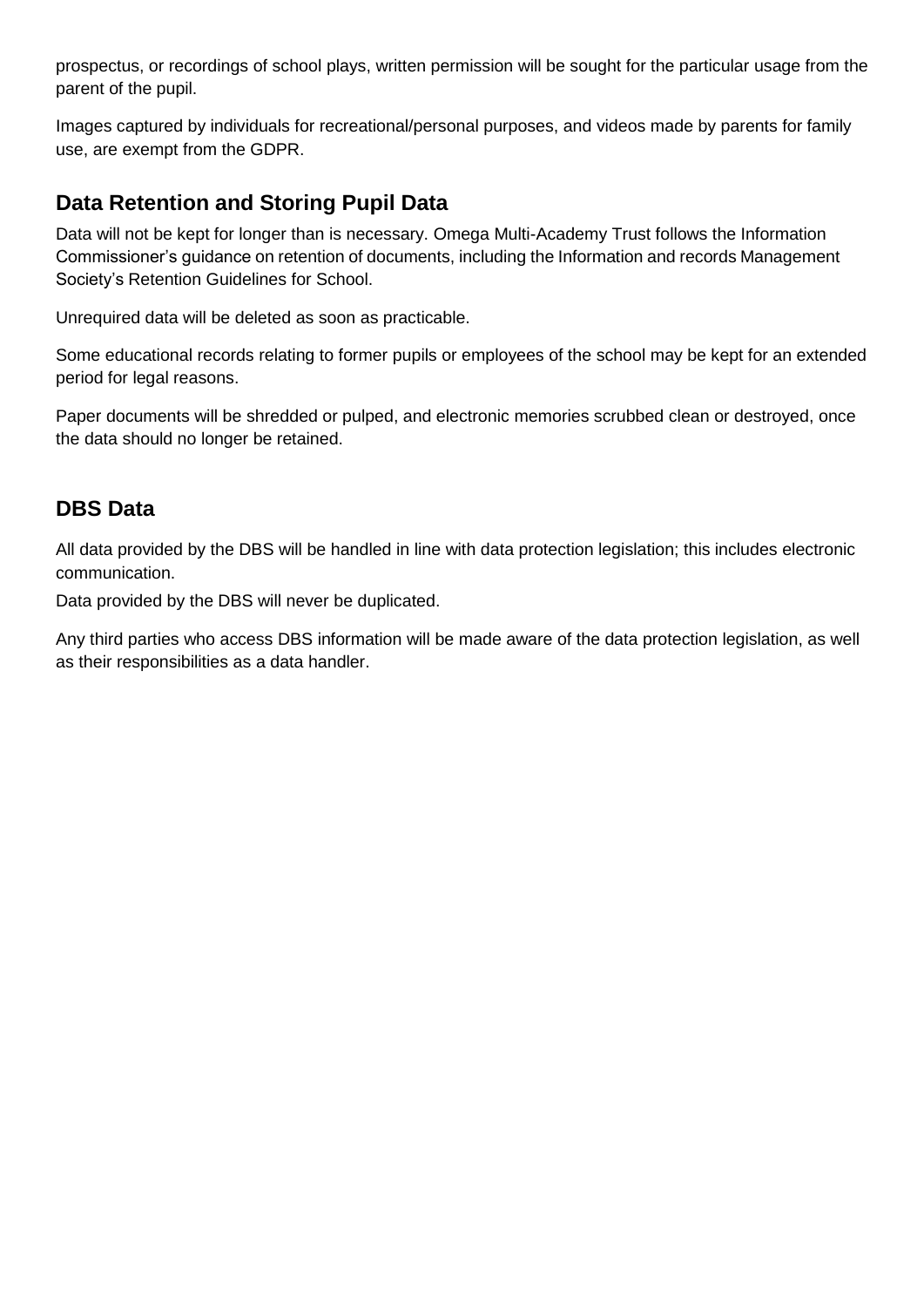prospectus, or recordings of school plays, written permission will be sought for the particular usage from the parent of the pupil.

Images captured by individuals for recreational/personal purposes, and videos made by parents for family use, are exempt from the GDPR.

### **Data Retention and Storing Pupil Data**

Data will not be kept for longer than is necessary. Omega Multi-Academy Trust follows the Information Commissioner's guidance on retention of documents, including the Information and records Management Society's Retention Guidelines for School.

Unrequired data will be deleted as soon as practicable.

Some educational records relating to former pupils or employees of the school may be kept for an extended period for legal reasons.

Paper documents will be shredded or pulped, and electronic memories scrubbed clean or destroyed, once the data should no longer be retained.

### **DBS Data**

All data provided by the DBS will be handled in line with data protection legislation; this includes electronic communication.

Data provided by the DBS will never be duplicated.

Any third parties who access DBS information will be made aware of the data protection legislation, as well as their responsibilities as a data handler.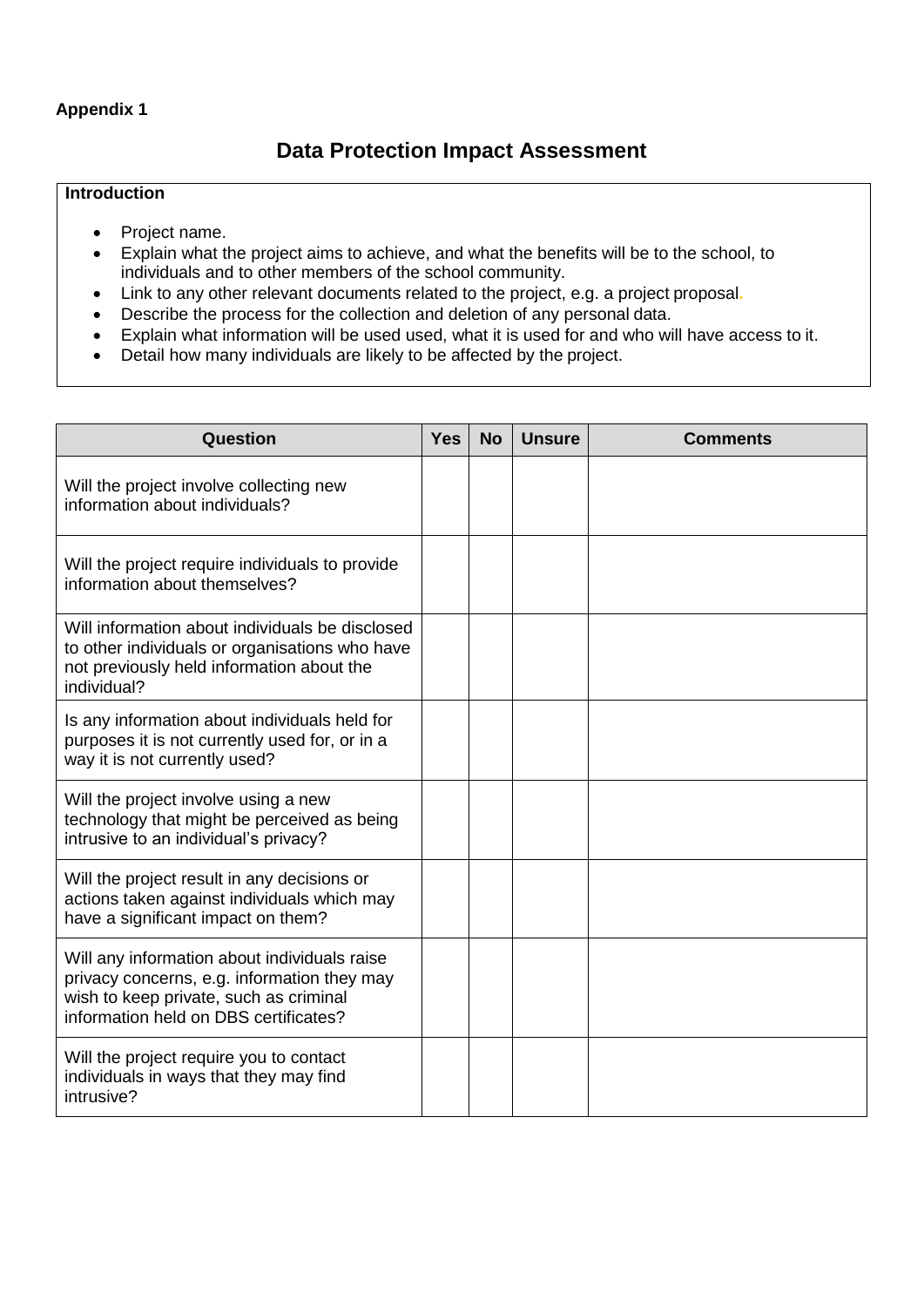#### **Appendix 1**

### **Data Protection Impact Assessment**

#### **Introduction**

- Project name.
- Explain what the project aims to achieve, and what the benefits will be to the school, to individuals and to other members of the school community.
- Link to any other relevant documents related to the project, e.g. a project proposal**.**
- Describe the process for the collection and deletion of any personal data.
- Explain what information will be used used, what it is used for and who will have access to it.
- Detail how many individuals are likely to be affected by the project.

| Question                                                                                                                                                                       | <b>Yes</b> | <b>No</b> | <b>Unsure</b> | <b>Comments</b> |
|--------------------------------------------------------------------------------------------------------------------------------------------------------------------------------|------------|-----------|---------------|-----------------|
| Will the project involve collecting new<br>information about individuals?                                                                                                      |            |           |               |                 |
| Will the project require individuals to provide<br>information about themselves?                                                                                               |            |           |               |                 |
| Will information about individuals be disclosed<br>to other individuals or organisations who have<br>not previously held information about the<br>individual?                  |            |           |               |                 |
| Is any information about individuals held for<br>purposes it is not currently used for, or in a<br>way it is not currently used?                                               |            |           |               |                 |
| Will the project involve using a new<br>technology that might be perceived as being<br>intrusive to an individual's privacy?                                                   |            |           |               |                 |
| Will the project result in any decisions or<br>actions taken against individuals which may<br>have a significant impact on them?                                               |            |           |               |                 |
| Will any information about individuals raise<br>privacy concerns, e.g. information they may<br>wish to keep private, such as criminal<br>information held on DBS certificates? |            |           |               |                 |
| Will the project require you to contact<br>individuals in ways that they may find<br>intrusive?                                                                                |            |           |               |                 |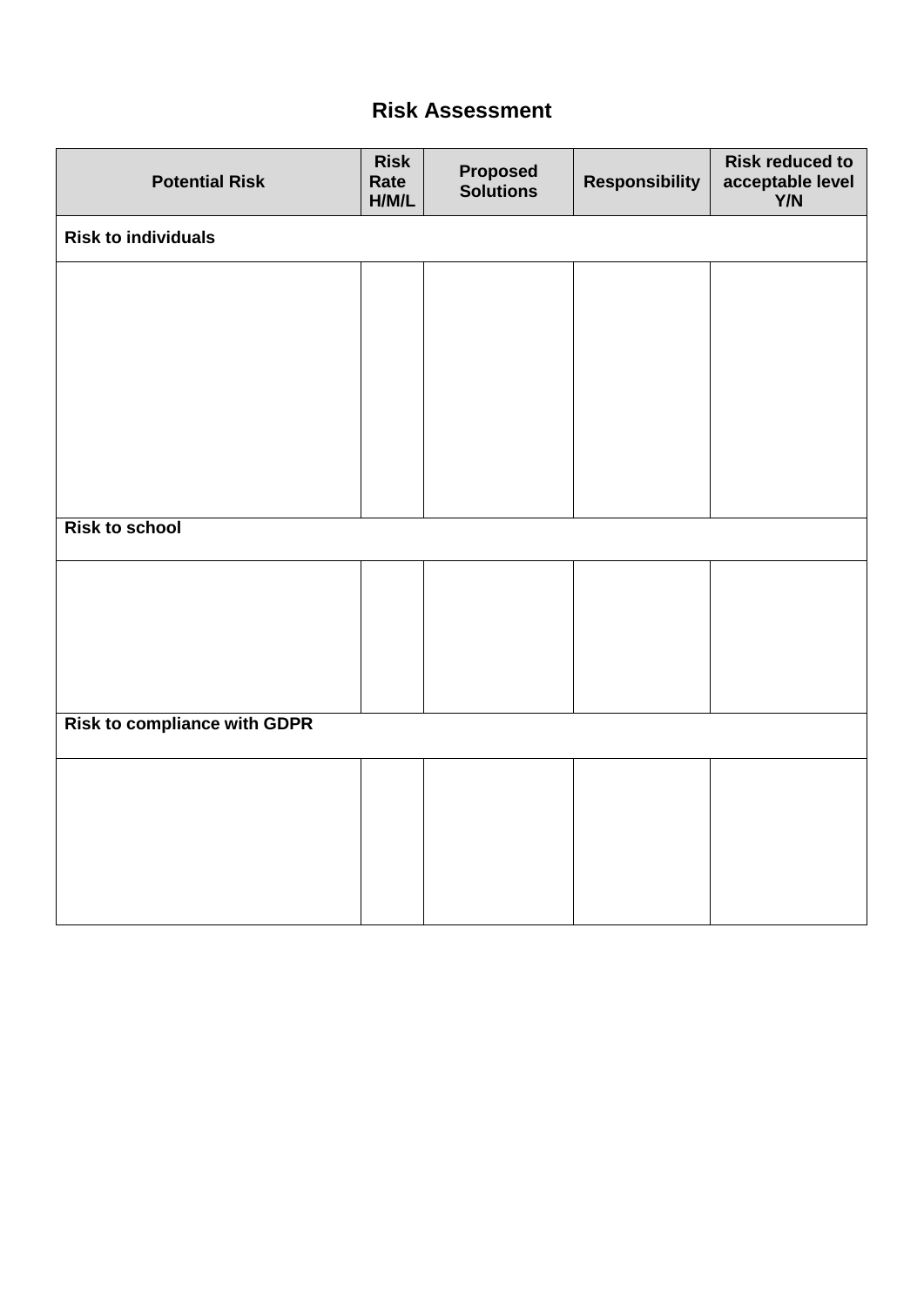### **Risk Assessment**

| <b>Potential Risk</b>               | <b>Risk</b><br>Rate<br>H/M/L | <b>Proposed</b><br>Solutions | <b>Responsibility</b> | <b>Risk reduced to</b><br>acceptable level<br>Y/N |  |  |  |  |
|-------------------------------------|------------------------------|------------------------------|-----------------------|---------------------------------------------------|--|--|--|--|
| <b>Risk to individuals</b>          |                              |                              |                       |                                                   |  |  |  |  |
|                                     |                              |                              |                       |                                                   |  |  |  |  |
|                                     |                              |                              |                       |                                                   |  |  |  |  |
|                                     |                              |                              |                       |                                                   |  |  |  |  |
|                                     |                              |                              |                       |                                                   |  |  |  |  |
|                                     |                              |                              |                       |                                                   |  |  |  |  |
| <b>Risk to school</b>               |                              |                              |                       |                                                   |  |  |  |  |
|                                     |                              |                              |                       |                                                   |  |  |  |  |
|                                     |                              |                              |                       |                                                   |  |  |  |  |
|                                     |                              |                              |                       |                                                   |  |  |  |  |
|                                     |                              |                              |                       |                                                   |  |  |  |  |
| <b>Risk to compliance with GDPR</b> |                              |                              |                       |                                                   |  |  |  |  |
|                                     |                              |                              |                       |                                                   |  |  |  |  |
|                                     |                              |                              |                       |                                                   |  |  |  |  |
|                                     |                              |                              |                       |                                                   |  |  |  |  |
|                                     |                              |                              |                       |                                                   |  |  |  |  |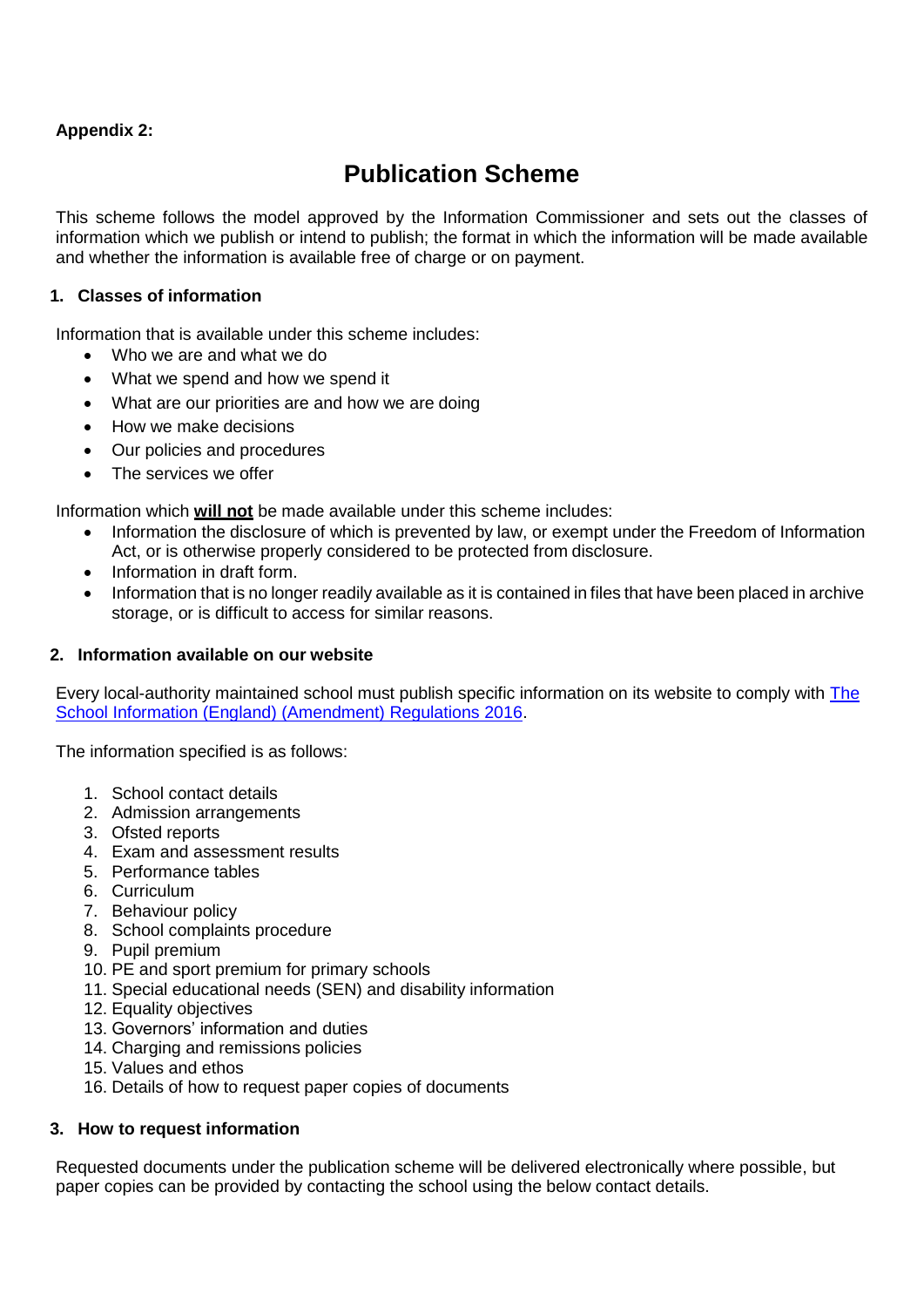#### **Appendix 2:**

# **Publication Scheme**

This scheme follows the model approved by the Information Commissioner and sets out the classes of information which we publish or intend to publish; the format in which the information will be made available and whether the information is available free of charge or on payment.

#### **1. Classes of information**

Information that is available under this scheme includes:

- Who we are and what we do
- What we spend and how we spend it
- What are our priorities are and how we are doing
- How we make decisions
- Our policies and procedures
- The services we offer

Information which **will not** be made available under this scheme includes:

- Information the disclosure of which is prevented by law, or exempt under the Freedom of Information Act, or is otherwise properly considered to be protected from disclosure.
- Information in draft form.
- Information that is no longer readily available as it is contained in files that have been placed in archive storage, or is difficult to access for similar reasons.

#### **2. Information available on our website**

Every local-authority maintained school must publish specific information on its website to comply with [The](http://www.legislation.gov.uk/uksi/2016/451/contents/made) [School Information \(England\) \(Amendment\) Regulations 2016.](http://www.legislation.gov.uk/uksi/2016/451/contents/made)

The information specified is as follows:

- 1. [School contact details](https://www.gov.uk/guidance/what-maintained-schools-must-publish-online#school-contact-details)
- 2. Admission [arrangements](https://www.gov.uk/guidance/what-maintained-schools-must-publish-online#admission-arrangements)
- 3. Ofsted [reports](https://www.gov.uk/guidance/what-maintained-schools-must-publish-online#ofsted-reports)
- 4. [Exam and assessment](https://www.gov.uk/guidance/what-maintained-schools-must-publish-online#exam-and-assessment-results) results
- 5. [Performance](https://www.gov.uk/guidance/what-maintained-schools-must-publish-online#performance-tables) tables
- 6. [Curriculum](https://www.gov.uk/guidance/what-maintained-schools-must-publish-online#curriculum)
- 7. [Behaviour policy](https://www.gov.uk/guidance/what-maintained-schools-must-publish-online#behaviour-policy)
- 8. [School complaints](https://www.gov.uk/guidance/what-maintained-schools-must-publish-online#school-complaints-procedure) procedure
- 9. Pupil [premium](https://www.gov.uk/guidance/what-maintained-schools-must-publish-online#pupil-premium)
- 10. PE [and sport premium for primary](https://www.gov.uk/guidance/what-maintained-schools-must-publish-online#pe-and-sport-premium-for-primary-schools) schools
- 11. [Special educational needs \(SEN\) and disability](https://www.gov.uk/guidance/what-maintained-schools-must-publish-online#special-educational-needs-sen-and-disability-information) information
- 12. Equality [objectives](https://www.gov.uk/guidance/what-maintained-schools-must-publish-online#equality-objectives)
- 13. [Governors' information and](https://www.gov.uk/guidance/what-maintained-schools-must-publish-online#governors-information-and-duties) duties
- 14. [Charging and remissions](https://www.gov.uk/guidance/what-maintained-schools-must-publish-online#charging-and-remissions-policies) policies
- 15. [Values and ethos](https://www.gov.uk/guidance/what-maintained-schools-must-publish-online#values-and-ethos)
- 16. Details of how to [request paper copies o](https://www.gov.uk/guidance/what-maintained-schools-must-publish-online#requests-for-paper-copies)f documents

#### **3. How to request information**

Requested documents under the publication scheme will be delivered electronically where possible, but paper copies can be provided by contacting the school using the below contact details.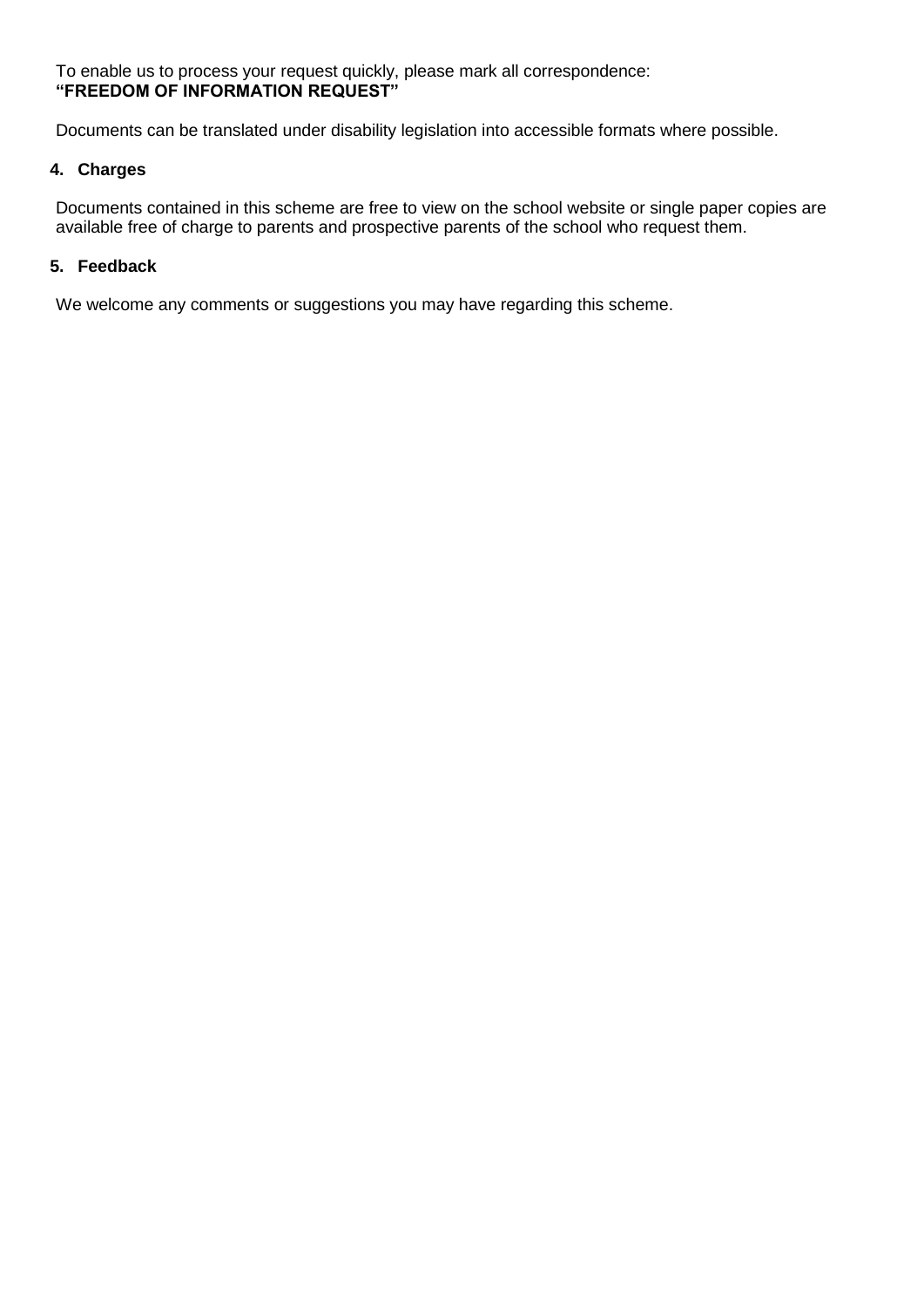To enable us to process your request quickly, please mark all correspondence: **"FREEDOM OF INFORMATION REQUEST"**

Documents can be translated under disability legislation into accessible formats where possible.

#### **4. Charges**

Documents contained in this scheme are free to view on the school website or single paper copies are available free of charge to parents and prospective parents of the school who request them.

#### **5. Feedback**

We welcome any comments or suggestions you may have regarding this scheme.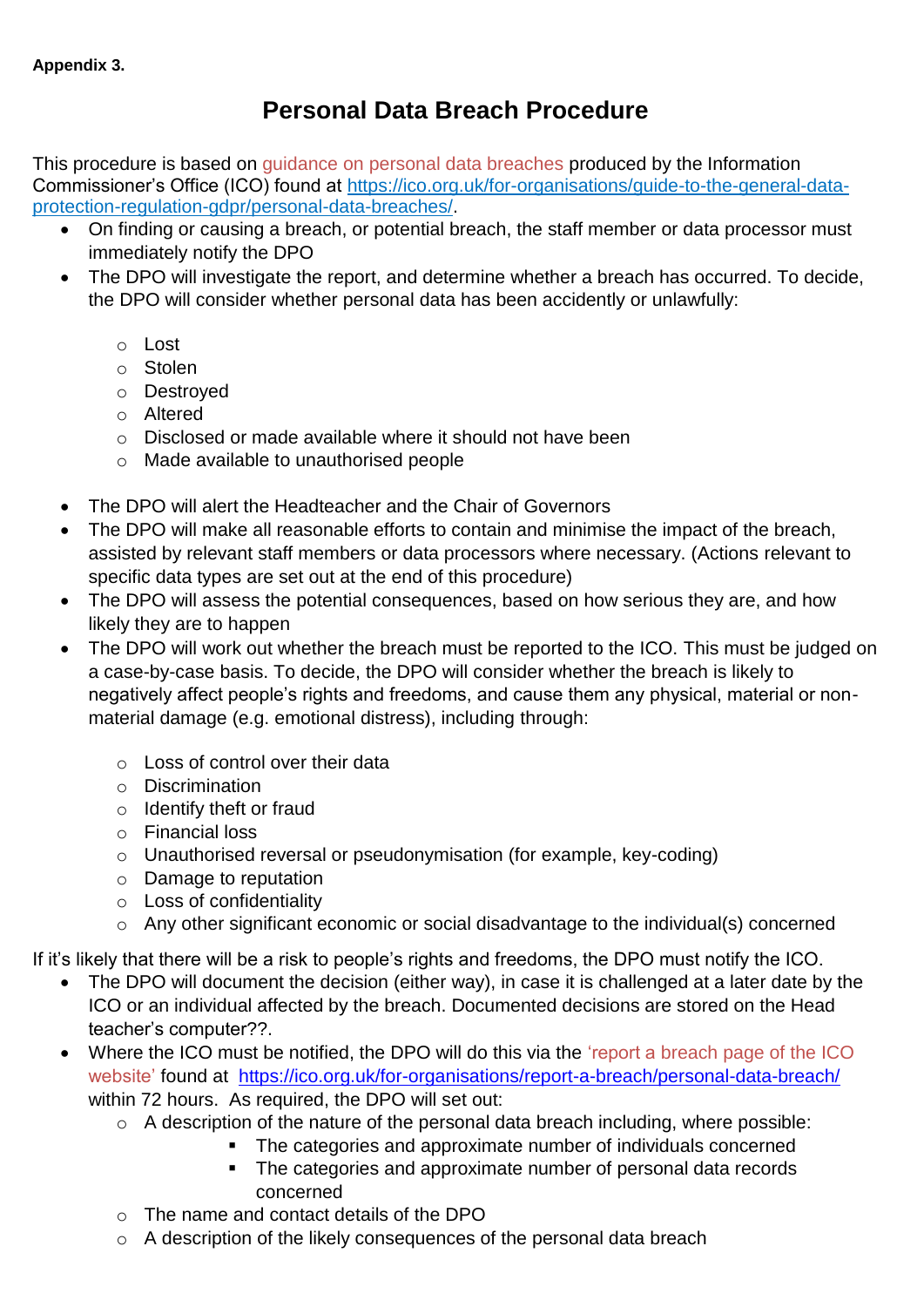# **Personal Data Breach Procedure**

This procedure is based on guidance on personal data breaches produced by the Information Commissioner's Office (ICO) found at https://ico.org.uk/for-organisations/guide-to-the-general-dataprotection-regulation-gdpr/personal-data-breaches/.

- On finding or causing a breach, or potential breach, the staff member or data processor must immediately notify the DPO
- The DPO will investigate the report, and determine whether a breach has occurred. To decide, the DPO will consider whether personal data has been accidently or unlawfully:
	- o Lost
	- o Stolen
	- o Destroyed
	- o Altered
	- o Disclosed or made available where it should not have been
	- o Made available to unauthorised people
- The DPO will alert the Headteacher and the Chair of Governors
- The DPO will make all reasonable efforts to contain and minimise the impact of the breach, assisted by relevant staff members or data processors where necessary. (Actions relevant to specific data types are set out at the end of this procedure)
- The DPO will assess the potential consequences, based on how serious they are, and how likely they are to happen
- The DPO will work out whether the breach must be reported to the ICO. This must be judged on a case-by-case basis. To decide, the DPO will consider whether the breach is likely to negatively affect people's rights and freedoms, and cause them any physical, material or nonmaterial damage (e.g. emotional distress), including through:
	- o Loss of control over their data
	- o Discrimination
	- o Identify theft or fraud
	- o Financial loss
	- o Unauthorised reversal or pseudonymisation (for example, key-coding)
	- o Damage to reputation
	- o Loss of confidentiality
	- o Any other significant economic or social disadvantage to the individual(s) concerned

If it's likely that there will be a risk to people's rights and freedoms, the DPO must notify the ICO.

- The DPO will document the decision (either way), in case it is challenged at a later date by the ICO or an individual affected by the breach. Documented decisions are stored on the Head teacher's computer??.
- Where the ICO must be notified, the DPO will do this via the 'report a breach page of the ICO website' found at <https://ico.org.uk/for-organisations/report-a-breach/personal-data-breach/> within 72 hours. As required, the DPO will set out:
	- $\circ$  A description of the nature of the personal data breach including, where possible:
		- The categories and approximate number of individuals concerned
		- The categories and approximate number of personal data records concerned
	- o The name and contact details of the DPO
	- o A description of the likely consequences of the personal data breach